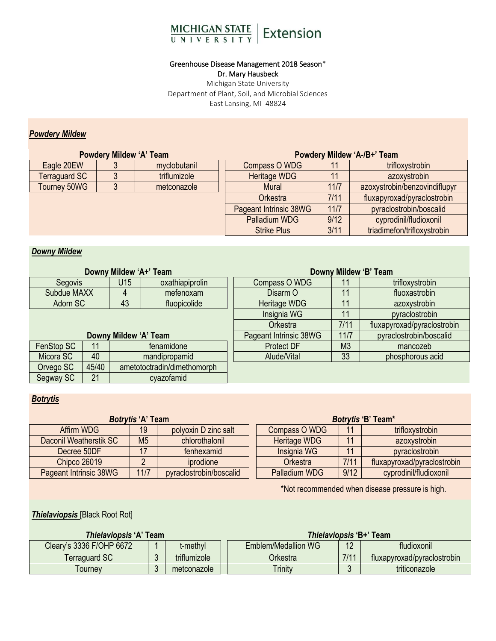

# Greenhouse Disease Management 2018 Season\*

Dr. Mary Hausbeck

Michigan State University Department of Plant, Soil, and Microbial Sciences East Lansing, MI 48824

## *Powdery Mildew*

|                      | <b>Powdery Mildew 'A' Team</b> |                        | Powdery Mildew 'A-/B+' Team |                             |                               |  |
|----------------------|--------------------------------|------------------------|-----------------------------|-----------------------------|-------------------------------|--|
| Eagle 20EW           |                                | myclobutanil           | Compass O WDG               |                             | trifloxystrobin               |  |
| <b>Terraguard SC</b> |                                | triflumizole           | Heritage WDG                | 11                          | azoxystrobin                  |  |
| Tourney 50WG         |                                | metconazole            | <b>Mural</b>                | 11/7                        | azoxystrobin/benzovindiflupyr |  |
|                      |                                | <b>Orkestra</b>        | 7/11                        | fluxapyroxad/pyraclostrobin |                               |  |
|                      |                                | Pageant Intrinsic 38WG | $11/7$                      | pyraclostrobin/boscalid     |                               |  |
|                      |                                |                        | Palladium WDG               | 9/12                        | cyprodinil/fludioxonil        |  |
|                      |                                |                        | <b>Strike Plus</b>          | 3/11                        | triadimefon/trifloxystrobin   |  |

# *Downy Mildew*

| Downy Mildew 'A+' Team                            |    |               |                        | Downy Mildew 'B' Team       |                         |                  |  |  |
|---------------------------------------------------|----|---------------|------------------------|-----------------------------|-------------------------|------------------|--|--|
| U15<br>oxathiapiprolin<br>Segovis                 |    |               | Compass O WDG          | 11                          | trifloxystrobin         |                  |  |  |
| Subdue MAXX                                       |    |               | mefenoxam              | Disarm O                    | 11                      | fluoxastrobin    |  |  |
| Adorn SC                                          |    | 43            | fluopicolide           | Heritage WDG                | 11                      | azoxystrobin     |  |  |
|                                                   |    | Insignia WG   | 11                     | pyraclostrobin              |                         |                  |  |  |
|                                                   |    | Orkestra      | 7/11                   | fluxapyroxad/pyraclostrobin |                         |                  |  |  |
| Downy Mildew 'A' Team                             |    |               | Pageant Intrinsic 38WG | 11/7                        | pyraclostrobin/boscalid |                  |  |  |
| FenStop SC                                        | 11 | fenamidone    |                        | <b>Protect DF</b>           | M <sub>3</sub>          | mancozeb         |  |  |
| Micora SC                                         | 40 | mandipropamid |                        | Alude/Vital                 | 33                      | phosphorous acid |  |  |
| 45/40<br>ametotoctradin/dimethomorph<br>Orvego SC |    |               |                        |                             |                         |                  |  |  |
| 21<br>Segway SC<br>cyazofamid                     |    |               |                        |                             |                         |                  |  |  |

# *Botrytis*

|                                          | <b>Botrytis 'A' Team</b> |                         | Botrytis 'B' Team*   |      |                             |  |
|------------------------------------------|--------------------------|-------------------------|----------------------|------|-----------------------------|--|
| Affirm WDG                               | 19                       | polyoxin D zinc salt    | Compass O WDG        | 11   | trifloxystrobin             |  |
| M <sub>5</sub><br>Daconil Weatherstik SC |                          | chlorothalonil          | Heritage WDG         | 11   | azoxystrobin                |  |
| Decree 50DF                              | 17                       | fenhexamid              | Insignia WG          | 11   | pyraclostrobin              |  |
| <b>Chipco 26019</b>                      |                          | iprodione               | Orkestra             | 7/11 | fluxapyroxad/pyraclostrobin |  |
| Pageant Intrinsic 38WG                   | 11/7                     | pyraclostrobin/boscalid | <b>Palladium WDG</b> | 9/12 | cyprodinil/fludioxonil      |  |

\*Not recommended when disease pressure is high.

*Thielaviopsis* [Black Root Rot]

| <b>Thielaviopsis 'A' Team</b>        |  | <b>Thielaviopsis 'B+' Team</b> |                      |             |                             |
|--------------------------------------|--|--------------------------------|----------------------|-------------|-----------------------------|
| Cleary's 3336 F/OHP 6672<br>t-methyl |  | Emblem/Medallion WG            | 1 <sup>2</sup><br>ι∠ | fludioxonil |                             |
| Terraguard SC                        |  | triflumizole                   | Orkestra             | 7/11        | fluxapyroxad/pyraclostrobin |
| Tournev                              |  | metconazole                    | <b>Trinity</b>       |             | triticonazole               |